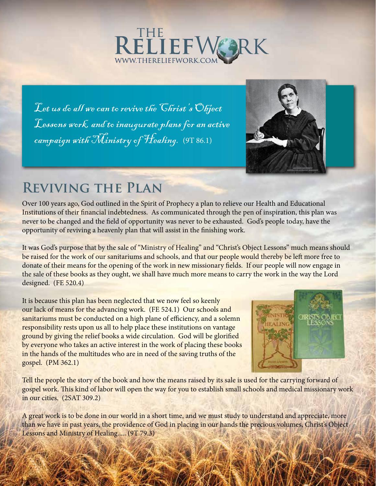

Let us do all we can to revive the Christ's Object Lessons work, and to inaugurate plans for an active campaign with Ministry of Healing. (9T 86.1)



## **Reviving the Plan**

Over 100 years ago, God outlined in the Spirit of Prophecy a plan to relieve our Health and Educational Institutions of their financial indebtedness. As communicated through the pen of inspiration, this plan was never to be changed and the field of opportunity was never to be exhausted. God's people today, have the opportunity of reviving a heavenly plan that will assist in the finishing work.

It was God's purpose that by the sale of "Ministry of Healing" and "Christ's Object Lessons" much means should be raised for the work of our sanitariums and schools, and that our people would thereby be left more free to donate of their means for the opening of the work in new missionary fields. If our people will now engage in the sale of these books as they ought, we shall have much more means to carry the work in the way the Lord designed. (FE 520.4)

It is because this plan has been neglected that we now feel so keenly our lack of means for the advancing work. (FE 524.1) Our schools and sanitariums must be conducted on a high plane of efficiency, and a solemn responsibility rests upon us all to help place these institutions on vantage ground by giving the relief books a wide circulation. God will be glorified by everyone who takes an active interest in the work of placing these books in the hands of the multitudes who are in need of the saving truths of the gospel. (PM 362.1)



Tell the people the story of the book and how the means raised by its sale is used for the carrying forward of gospel work. This kind of labor will open the way for you to establish small schools and medical missionary work in our cities. (2SAT 309.2)

A great work is to be done in our world in a short time, and we must study to understand and appreciate, more than we have in past years, the providence of God in placing in our hands the precious volumes, Christ's Object Lessons and Ministry of Healing..... (9T 79.3)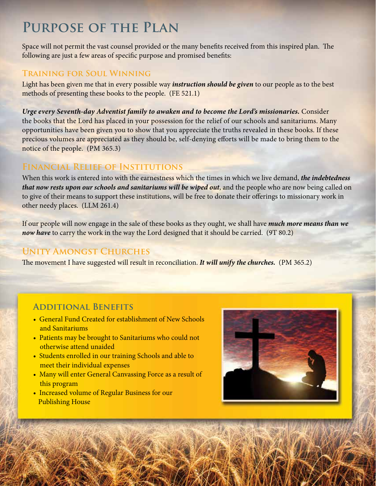## **Purpose of the Plan**

Space will not permit the vast counsel provided or the many benefits received from this inspired plan. The following are just a few areas of specific purpose and promised benefits:

#### **Training for Soul Winning**

Light has been given me that in every possible way *instruction should be given* to our people as to the best methods of presenting these books to the people. (FE 521.1)

*Urge every Seventh-day Adventist family to awaken and to become the Lord's missionaries.* Consider the books that the Lord has placed in your possession for the relief of our schools and sanitariums. Many opportunities have been given you to show that you appreciate the truths revealed in these books. If these precious volumes are appreciated as they should be, self-denying efforts will be made to bring them to the notice of the people. (PM 365.3)

## **Financial Relief of Institutions**

When this work is entered into with the earnestness which the times in which we live demand, *the indebtedness that now rests upon our schools and sanitariums will be wiped out*, and the people who are now being called on to give of their means to support these institutions, will be free to donate their offerings to missionary work in other needy places. (LLM 261.4)

If our people will now engage in the sale of these books as they ought, we shall have *much more means than we now have* to carry the work in the way the Lord designed that it should be carried. (9T 80.2)

## **Unity Amongst Churches**

The movement I have suggested will result in reconciliation. *It will unify the churches.* (PM 365.2)

## **Additional Benefits**

- General Fund Created for establishment of New Schools and Sanitariums
- Patients may be brought to Sanitariums who could not otherwise attend unaided
- Students enrolled in our training Schools and able to meet their individual expenses
- Many will enter General Canvassing Force as a result of this program
- Increased volume of Regular Business for our Publishing House

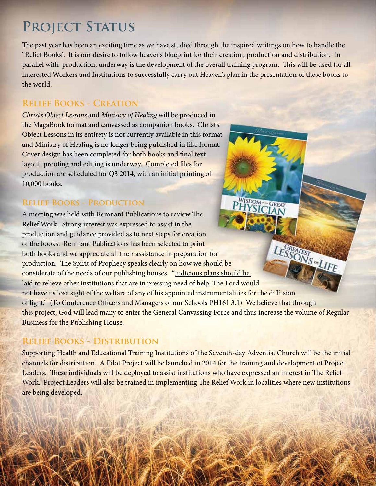# PROJECT STATUS

The past year has been an exciting time as we have studied through the inspired writings on how to handle the "Relief Books". It is our desire to follow heavens blueprint for their creation, production and distribution. In parallel with production, underway is the development of the overall training program. This will be used for all interested Workers and Institutions to successfully carry out Heaven's plan in the presentation of these books to the world.

#### **Relief Books - Creation**

*Christ's Object Lessons* and *Ministry of Healing* will be produced in the MagaBook format and canvassed as companion books. Christ's Object Lessons in its entirety is not currently available in this format and Ministry of Healing is no longer being published in like format. Cover design has been completed for both books and final text layout, proofing and editing is underway. Completed files for production are scheduled for Q3 2014, with an initial printing of 10,000 books.

#### **Relief Books - Production**

A meeting was held with Remnant Publications to review The Relief Work. Strong interest was expressed to assist in the production and guidance provided as to next steps for creation LESSONS & LIFE of the books. Remnant Publications has been selected to print both books and we appreciate all their assistance in preparation for production. The Spirit of Prophecy speaks clearly on how we should be considerate of the needs of our publishing houses. "Judicious plans should be laid to relieve other institutions that are in pressing need of help. The Lord would not have us lose sight of the welfare of any of his appointed instrumentalities for the diffusion of light." (To Conference Officers and Managers of our Schools PH161 3.1) We believe that through this project, God will lead many to enter the General Canvassing Force and thus increase the volume of Regular Business for the Publishing House.

WISDOM GREAT

## **Relief Books - Distribution**

Supporting Health and Educational Training Institutions of the Seventh-day Adventist Church will be the initial channels for distribution. A Pilot Project will be launched in 2014 for the training and development of Project Leaders. These individuals will be deployed to assist institutions who have expressed an interest in The Relief Work. Project Leaders will also be trained in implementing The Relief Work in localities where new institutions are being developed.